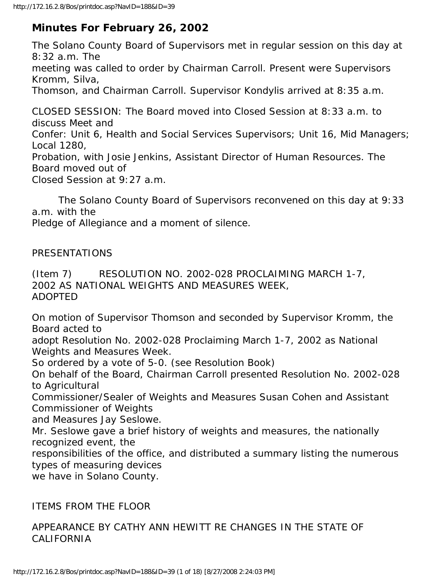# **Minutes For February 26, 2002**

The Solano County Board of Supervisors met in regular session on this day at 8:32 a.m. The meeting was called to order by Chairman Carroll. Present were Supervisors Kromm, Silva, Thomson, and Chairman Carroll. Supervisor Kondylis arrived at 8:35 a.m. CLOSED SESSION: The Board moved into Closed Session at 8:33 a.m. to discuss Meet and Confer: Unit 6, Health and Social Services Supervisors; Unit 16, Mid Managers; Local 1280,

Probation, with Josie Jenkins, Assistant Director of Human Resources. The Board moved out of

Closed Session at 9:27 a.m.

 The Solano County Board of Supervisors reconvened on this day at 9:33 a.m. with the

Pledge of Allegiance and a moment of silence.

#### PRESENTATIONS

(Item 7) RESOLUTION NO. 2002-028 PROCLAIMING MARCH 1-7, 2002 AS NATIONAL WEIGHTS AND MEASURES WEEK, ADOPTED

On motion of Supervisor Thomson and seconded by Supervisor Kromm, the Board acted to

adopt Resolution No. 2002-028 Proclaiming March 1-7, 2002 as National Weights and Measures Week.

So ordered by a vote of 5-0. (see Resolution Book)

On behalf of the Board, Chairman Carroll presented Resolution No. 2002-028 to Agricultural

Commissioner/Sealer of Weights and Measures Susan Cohen and Assistant Commissioner of Weights

and Measures Jay Seslowe.

Mr. Seslowe gave a brief history of weights and measures, the nationally recognized event, the

responsibilities of the office, and distributed a summary listing the numerous types of measuring devices

we have in Solano County.

## ITEMS FROM THE FLOOR

## APPEARANCE BY CATHY ANN HEWITT RE CHANGES IN THE STATE OF CALIFORNIA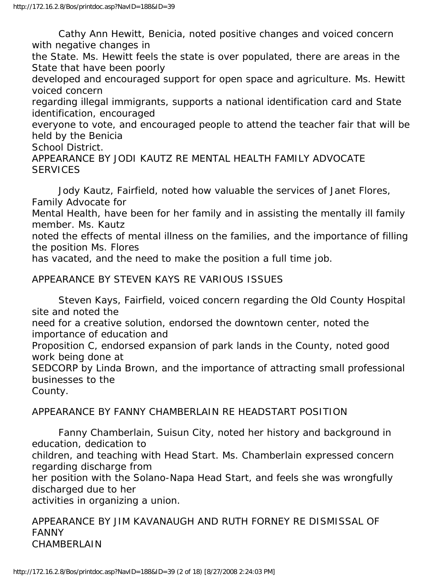Cathy Ann Hewitt, Benicia, noted positive changes and voiced concern with negative changes in

the State. Ms. Hewitt feels the state is over populated, there are areas in the State that have been poorly

developed and encouraged support for open space and agriculture. Ms. Hewitt voiced concern

regarding illegal immigrants, supports a national identification card and State identification, encouraged

everyone to vote, and encouraged people to attend the teacher fair that will be held by the Benicia

School District.

APPEARANCE BY JODI KAUTZ RE MENTAL HEALTH FAMILY ADVOCATE **SERVICES** 

 Jody Kautz, Fairfield, noted how valuable the services of Janet Flores, Family Advocate for Mental Health, have been for her family and in assisting the mentally ill family member. Ms. Kautz noted the effects of mental illness on the families, and the importance of filling the position Ms. Flores has vacated, and the need to make the position a full time job.

APPEARANCE BY STEVEN KAYS RE VARIOUS ISSUES

 Steven Kays, Fairfield, voiced concern regarding the Old County Hospital site and noted the

need for a creative solution, endorsed the downtown center, noted the importance of education and

Proposition C, endorsed expansion of park lands in the County, noted good work being done at

SEDCORP by Linda Brown, and the importance of attracting small professional businesses to the

County.

## APPEARANCE BY FANNY CHAMBERLAIN RE HEADSTART POSITION

 Fanny Chamberlain, Suisun City, noted her history and background in education, dedication to

children, and teaching with Head Start. Ms. Chamberlain expressed concern regarding discharge from

her position with the Solano-Napa Head Start, and feels she was wrongfully discharged due to her

activities in organizing a union.

APPEARANCE BY JIM KAVANAUGH AND RUTH FORNEY RE DISMISSAL OF FANNY CHAMBERLAIN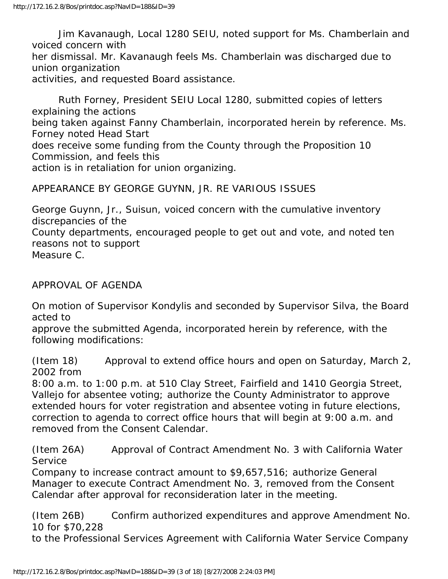Jim Kavanaugh, Local 1280 SEIU, noted support for Ms. Chamberlain and voiced concern with her dismissal. Mr. Kavanaugh feels Ms. Chamberlain was discharged due to union organization activities, and requested Board assistance.

 Ruth Forney, President SEIU Local 1280, submitted copies of letters explaining the actions being taken against Fanny Chamberlain, incorporated herein by reference. Ms. Forney noted Head Start does receive some funding from the County through the Proposition 10 Commission, and feels this action is in retaliation for union organizing.

APPEARANCE BY GEORGE GUYNN, JR. RE VARIOUS ISSUES

George Guynn, Jr., Suisun, voiced concern with the cumulative inventory discrepancies of the County departments, encouraged people to get out and vote, and noted ten reasons not to support Measure C.

APPROVAL OF AGENDA

On motion of Supervisor Kondylis and seconded by Supervisor Silva, the Board acted to

approve the submitted Agenda, incorporated herein by reference, with the following modifications:

(Item 18) Approval to extend office hours and open on Saturday, March 2, 2002 from

8:00 a.m. to 1:00 p.m. at 510 Clay Street, Fairfield and 1410 Georgia Street, Vallejo for absentee voting; authorize the County Administrator to approve extended hours for voter registration and absentee voting in future elections, correction to agenda to correct office hours that will begin at 9:00 a.m. and removed from the Consent Calendar.

(Item 26A) Approval of Contract Amendment No. 3 with California Water **Service** 

Company to increase contract amount to \$9,657,516; authorize General Manager to execute Contract Amendment No. 3, removed from the Consent Calendar after approval for reconsideration later in the meeting.

(Item 26B) Confirm authorized expenditures and approve Amendment No. 10 for \$70,228

to the Professional Services Agreement with California Water Service Company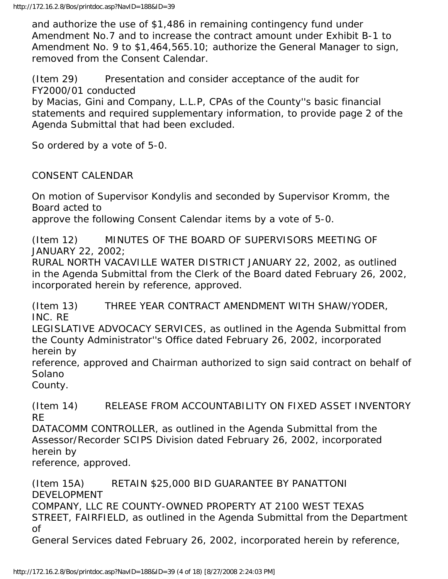and authorize the use of \$1,486 in remaining contingency fund under Amendment No.7 and to increase the contract amount under Exhibit B-1 to Amendment No. 9 to \$1,464,565.10; authorize the General Manager to sign, removed from the Consent Calendar.

(Item 29) Presentation and consider acceptance of the audit for FY2000/01 conducted

by Macias, Gini and Company, L.L.P, CPAs of the County''s basic financial statements and required supplementary information, to provide page 2 of the Agenda Submittal that had been excluded.

So ordered by a vote of 5-0.

CONSENT CALENDAR

On motion of Supervisor Kondylis and seconded by Supervisor Kromm, the Board acted to

approve the following Consent Calendar items by a vote of 5-0.

(Item 12) MINUTES OF THE BOARD OF SUPERVISORS MEETING OF JANUARY 22, 2002;

RURAL NORTH VACAVILLE WATER DISTRICT JANUARY 22, 2002, as outlined in the Agenda Submittal from the Clerk of the Board dated February 26, 2002, incorporated herein by reference, approved.

(Item 13) THREE YEAR CONTRACT AMENDMENT WITH SHAW/YODER, INC. RE

LEGISLATIVE ADVOCACY SERVICES, as outlined in the Agenda Submittal from the County Administrator''s Office dated February 26, 2002, incorporated herein by

reference, approved and Chairman authorized to sign said contract on behalf of Solano

County.

(Item 14) RELEASE FROM ACCOUNTABILITY ON FIXED ASSET INVENTORY RE

DATACOMM CONTROLLER, as outlined in the Agenda Submittal from the Assessor/Recorder SCIPS Division dated February 26, 2002, incorporated herein by

reference, approved.

(Item 15A) RETAIN \$25,000 BID GUARANTEE BY PANATTONI DEVELOPMENT COMPANY, LLC RE COUNTY-OWNED PROPERTY AT 2100 WEST TEXAS STREET, FAIRFIELD, as outlined in the Agenda Submittal from the Department of General Services dated February 26, 2002, incorporated herein by reference,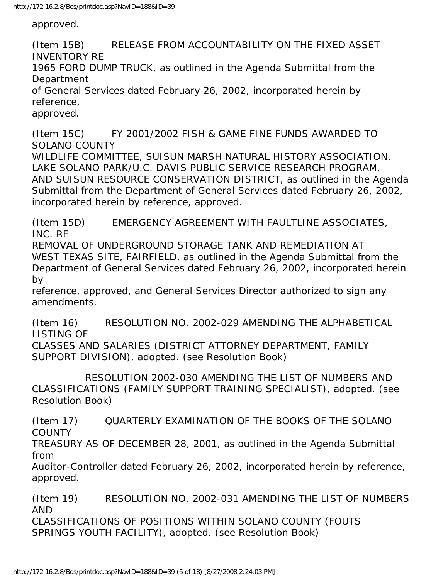approved.

(Item 15B) RELEASE FROM ACCOUNTABILITY ON THE FIXED ASSET INVENTORY RE 1965 FORD DUMP TRUCK, as outlined in the Agenda Submittal from the Department of General Services dated February 26, 2002, incorporated herein by reference, approved.

(Item 15C) FY 2001/2002 FISH & GAME FINE FUNDS AWARDED TO SOLANO COUNTY WILDLIFE COMMITTEE, SUISUN MARSH NATURAL HISTORY ASSOCIATION, LAKE SOLANO PARK/U.C. DAVIS PUBLIC SERVICE RESEARCH PROGRAM, AND SUISUN RESOURCE CONSERVATION DISTRICT, as outlined in the Agenda Submittal from the Department of General Services dated February 26, 2002, incorporated herein by reference, approved.

(Item 15D) EMERGENCY AGREEMENT WITH FAULTLINE ASSOCIATES, INC. RE

REMOVAL OF UNDERGROUND STORAGE TANK AND REMEDIATION AT WEST TEXAS SITE, FAIRFIELD, as outlined in the Agenda Submittal from the Department of General Services dated February 26, 2002, incorporated herein by

reference, approved, and General Services Director authorized to sign any amendments.

(Item 16) RESOLUTION NO. 2002-029 AMENDING THE ALPHABETICAL LISTING OF

CLASSES AND SALARIES (DISTRICT ATTORNEY DEPARTMENT, FAMILY SUPPORT DIVISION), adopted. (see Resolution Book)

 RESOLUTION 2002-030 AMENDING THE LIST OF NUMBERS AND CLASSIFICATIONS (FAMILY SUPPORT TRAINING SPECIALIST), adopted. (see Resolution Book)

(Item 17) QUARTERLY EXAMINATION OF THE BOOKS OF THE SOLANO **COUNTY** 

TREASURY AS OF DECEMBER 28, 2001, as outlined in the Agenda Submittal from

Auditor-Controller dated February 26, 2002, incorporated herein by reference, approved.

(Item 19) RESOLUTION NO. 2002-031 AMENDING THE LIST OF NUMBERS AND CLASSIFICATIONS OF POSITIONS WITHIN SOLANO COUNTY (FOUTS SPRINGS YOUTH FACILITY), adopted. (see Resolution Book)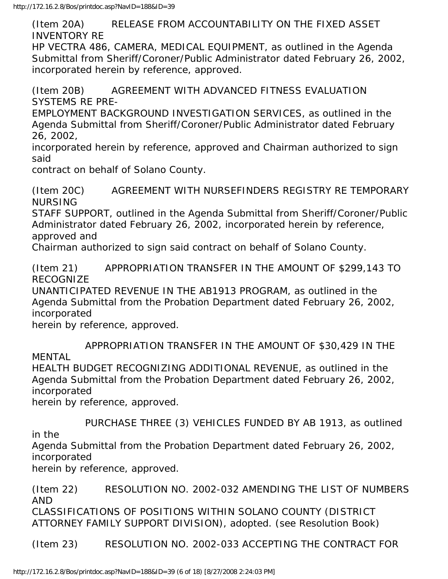(Item 20A) RELEASE FROM ACCOUNTABILITY ON THE FIXED ASSET INVENTORY RE

HP VECTRA 486, CAMERA, MEDICAL EQUIPMENT, as outlined in the Agenda Submittal from Sheriff/Coroner/Public Administrator dated February 26, 2002, incorporated herein by reference, approved.

(Item 20B) AGREEMENT WITH ADVANCED FITNESS EVALUATION SYSTEMS RE PRE-

EMPLOYMENT BACKGROUND INVESTIGATION SERVICES, as outlined in the Agenda Submittal from Sheriff/Coroner/Public Administrator dated February 26, 2002,

incorporated herein by reference, approved and Chairman authorized to sign said

contract on behalf of Solano County.

(Item 20C) AGREEMENT WITH NURSEFINDERS REGISTRY RE TEMPORARY NURSING

STAFF SUPPORT, outlined in the Agenda Submittal from Sheriff/Coroner/Public Administrator dated February 26, 2002, incorporated herein by reference, approved and

Chairman authorized to sign said contract on behalf of Solano County.

(Item 21) APPROPRIATION TRANSFER IN THE AMOUNT OF \$299,143 TO RECOGNIZE

UNANTICIPATED REVENUE IN THE AB1913 PROGRAM, as outlined in the Agenda Submittal from the Probation Department dated February 26, 2002, incorporated

herein by reference, approved.

 APPROPRIATION TRANSFER IN THE AMOUNT OF \$30,429 IN THE MENTAL

HEALTH BUDGET RECOGNIZING ADDITIONAL REVENUE, as outlined in the Agenda Submittal from the Probation Department dated February 26, 2002, incorporated

herein by reference, approved.

 PURCHASE THREE (3) VEHICLES FUNDED BY AB 1913, as outlined in the

Agenda Submittal from the Probation Department dated February 26, 2002, incorporated

herein by reference, approved.

(Item 22) RESOLUTION NO. 2002-032 AMENDING THE LIST OF NUMBERS AND CLASSIFICATIONS OF POSITIONS WITHIN SOLANO COUNTY (DISTRICT ATTORNEY FAMILY SUPPORT DIVISION), adopted. (see Resolution Book)

(Item 23) RESOLUTION NO. 2002-033 ACCEPTING THE CONTRACT FOR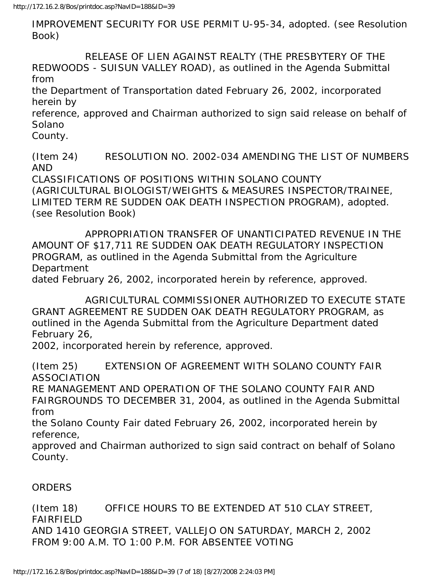IMPROVEMENT SECURITY FOR USE PERMIT U-95-34, adopted. (see Resolution Book)

 RELEASE OF LIEN AGAINST REALTY (THE PRESBYTERY OF THE REDWOODS - SUISUN VALLEY ROAD), as outlined in the Agenda Submittal from

the Department of Transportation dated February 26, 2002, incorporated herein by

reference, approved and Chairman authorized to sign said release on behalf of Solano

County.

(Item 24) RESOLUTION NO. 2002-034 AMENDING THE LIST OF NUMBERS AND

CLASSIFICATIONS OF POSITIONS WITHIN SOLANO COUNTY (AGRICULTURAL BIOLOGIST/WEIGHTS & MEASURES INSPECTOR/TRAINEE, LIMITED TERM RE SUDDEN OAK DEATH INSPECTION PROGRAM), adopted. (see Resolution Book)

 APPROPRIATION TRANSFER OF UNANTICIPATED REVENUE IN THE AMOUNT OF \$17,711 RE SUDDEN OAK DEATH REGULATORY INSPECTION PROGRAM, as outlined in the Agenda Submittal from the Agriculture Department

dated February 26, 2002, incorporated herein by reference, approved.

 AGRICULTURAL COMMISSIONER AUTHORIZED TO EXECUTE STATE GRANT AGREEMENT RE SUDDEN OAK DEATH REGULATORY PROGRAM, as outlined in the Agenda Submittal from the Agriculture Department dated February 26,

2002, incorporated herein by reference, approved.

(Item 25) EXTENSION OF AGREEMENT WITH SOLANO COUNTY FAIR ASSOCIATION

RE MANAGEMENT AND OPERATION OF THE SOLANO COUNTY FAIR AND FAIRGROUNDS TO DECEMBER 31, 2004, as outlined in the Agenda Submittal from

the Solano County Fair dated February 26, 2002, incorporated herein by reference,

approved and Chairman authorized to sign said contract on behalf of Solano County.

## ORDERS

(Item 18) OFFICE HOURS TO BE EXTENDED AT 510 CLAY STREET, FAIRFIELD AND 1410 GEORGIA STREET, VALLEJO ON SATURDAY, MARCH 2, 2002 FROM 9:00 A.M. TO 1:00 P.M. FOR ABSENTEE VOTING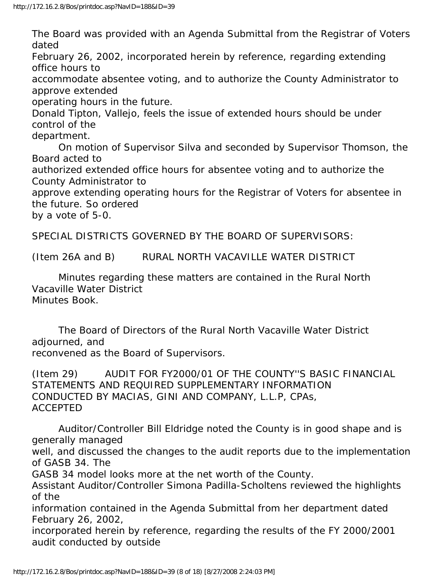The Board was provided with an Agenda Submittal from the Registrar of Voters dated

February 26, 2002, incorporated herein by reference, regarding extending office hours to

accommodate absentee voting, and to authorize the County Administrator to approve extended

operating hours in the future.

Donald Tipton, Vallejo, feels the issue of extended hours should be under control of the

department.

 On motion of Supervisor Silva and seconded by Supervisor Thomson, the Board acted to

authorized extended office hours for absentee voting and to authorize the County Administrator to

approve extending operating hours for the Registrar of Voters for absentee in the future. So ordered

by a vote of 5-0.

SPECIAL DISTRICTS GOVERNED BY THE BOARD OF SUPERVISORS:

(Item 26A and B) RURAL NORTH VACAVILLE WATER DISTRICT

 Minutes regarding these matters are contained in the Rural North Vacaville Water District Minutes Book.

 The Board of Directors of the Rural North Vacaville Water District adjourned, and reconvened as the Board of Supervisors.

(Item 29) AUDIT FOR FY2000/01 OF THE COUNTY''S BASIC FINANCIAL STATEMENTS AND REQUIRED SUPPLEMENTARY INFORMATION CONDUCTED BY MACIAS, GINI AND COMPANY, L.L.P, CPAs, ACCEPTED

 Auditor/Controller Bill Eldridge noted the County is in good shape and is generally managed

well, and discussed the changes to the audit reports due to the implementation of GASB 34. The

GASB 34 model looks more at the net worth of the County.

Assistant Auditor/Controller Simona Padilla-Scholtens reviewed the highlights of the

information contained in the Agenda Submittal from her department dated February 26, 2002,

incorporated herein by reference, regarding the results of the FY 2000/2001 audit conducted by outside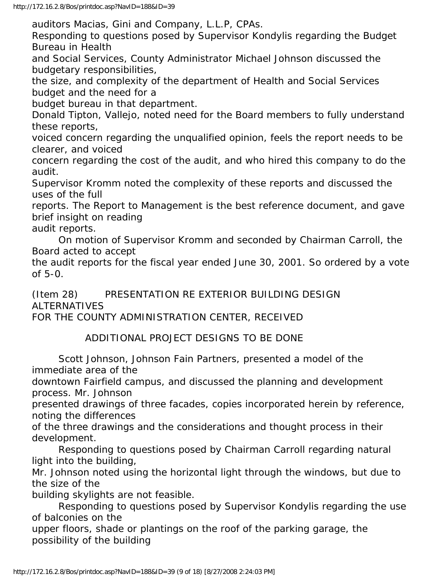auditors Macias, Gini and Company, L.L.P, CPAs.

Responding to questions posed by Supervisor Kondylis regarding the Budget Bureau in Health

and Social Services, County Administrator Michael Johnson discussed the budgetary responsibilities,

the size, and complexity of the department of Health and Social Services budget and the need for a

budget bureau in that department.

Donald Tipton, Vallejo, noted need for the Board members to fully understand these reports,

voiced concern regarding the unqualified opinion, feels the report needs to be clearer, and voiced

concern regarding the cost of the audit, and who hired this company to do the audit.

Supervisor Kromm noted the complexity of these reports and discussed the uses of the full

reports. The Report to Management is the best reference document, and gave brief insight on reading

audit reports.

 On motion of Supervisor Kromm and seconded by Chairman Carroll, the Board acted to accept

the audit reports for the fiscal year ended June 30, 2001. So ordered by a vote of 5-0.

(Item 28) PRESENTATION RE EXTERIOR BUILDING DESIGN ALTERNATIVES

FOR THE COUNTY ADMINISTRATION CENTER, RECEIVED

ADDITIONAL PROJECT DESIGNS TO BE DONE

 Scott Johnson, Johnson Fain Partners, presented a model of the immediate area of the

downtown Fairfield campus, and discussed the planning and development process. Mr. Johnson

presented drawings of three facades, copies incorporated herein by reference, noting the differences

of the three drawings and the considerations and thought process in their development.

 Responding to questions posed by Chairman Carroll regarding natural light into the building,

Mr. Johnson noted using the horizontal light through the windows, but due to the size of the

building skylights are not feasible.

 Responding to questions posed by Supervisor Kondylis regarding the use of balconies on the

upper floors, shade or plantings on the roof of the parking garage, the possibility of the building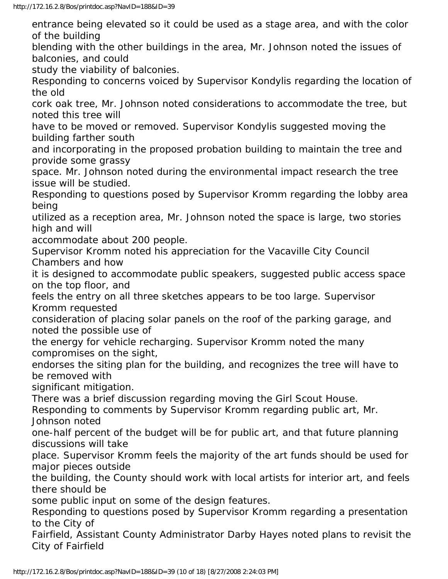entrance being elevated so it could be used as a stage area, and with the color of the building

blending with the other buildings in the area, Mr. Johnson noted the issues of balconies, and could

study the viability of balconies.

Responding to concerns voiced by Supervisor Kondylis regarding the location of the old

cork oak tree, Mr. Johnson noted considerations to accommodate the tree, but noted this tree will

have to be moved or removed. Supervisor Kondylis suggested moving the building farther south

and incorporating in the proposed probation building to maintain the tree and provide some grassy

space. Mr. Johnson noted during the environmental impact research the tree issue will be studied.

Responding to questions posed by Supervisor Kromm regarding the lobby area being

utilized as a reception area, Mr. Johnson noted the space is large, two stories high and will

accommodate about 200 people.

Supervisor Kromm noted his appreciation for the Vacaville City Council Chambers and how

it is designed to accommodate public speakers, suggested public access space on the top floor, and

feels the entry on all three sketches appears to be too large. Supervisor Kromm requested

consideration of placing solar panels on the roof of the parking garage, and noted the possible use of

the energy for vehicle recharging. Supervisor Kromm noted the many compromises on the sight,

endorses the siting plan for the building, and recognizes the tree will have to be removed with

significant mitigation.

There was a brief discussion regarding moving the Girl Scout House.

Responding to comments by Supervisor Kromm regarding public art, Mr. Johnson noted

one-half percent of the budget will be for public art, and that future planning discussions will take

place. Supervisor Kromm feels the majority of the art funds should be used for major pieces outside

the building, the County should work with local artists for interior art, and feels there should be

some public input on some of the design features.

Responding to questions posed by Supervisor Kromm regarding a presentation to the City of

Fairfield, Assistant County Administrator Darby Hayes noted plans to revisit the City of Fairfield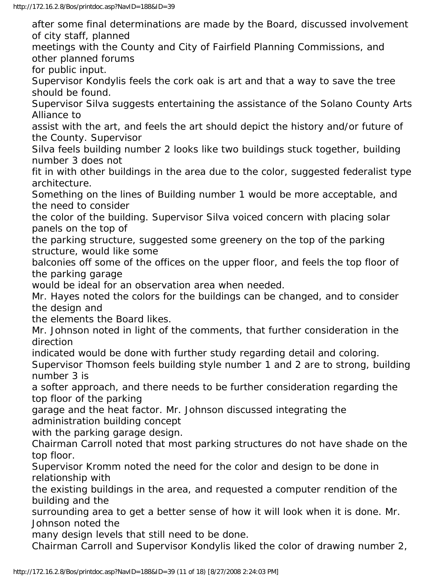after some final determinations are made by the Board, discussed involvement of city staff, planned

meetings with the County and City of Fairfield Planning Commissions, and other planned forums

for public input.

Supervisor Kondylis feels the cork oak is art and that a way to save the tree should be found.

Supervisor Silva suggests entertaining the assistance of the Solano County Arts Alliance to

assist with the art, and feels the art should depict the history and/or future of the County. Supervisor

Silva feels building number 2 looks like two buildings stuck together, building number 3 does not

fit in with other buildings in the area due to the color, suggested federalist type architecture.

Something on the lines of Building number 1 would be more acceptable, and the need to consider

the color of the building. Supervisor Silva voiced concern with placing solar panels on the top of

the parking structure, suggested some greenery on the top of the parking structure, would like some

balconies off some of the offices on the upper floor, and feels the top floor of the parking garage

would be ideal for an observation area when needed.

Mr. Hayes noted the colors for the buildings can be changed, and to consider the design and

the elements the Board likes.

Mr. Johnson noted in light of the comments, that further consideration in the direction

indicated would be done with further study regarding detail and coloring.

Supervisor Thomson feels building style number 1 and 2 are to strong, building number 3 is

a softer approach, and there needs to be further consideration regarding the top floor of the parking

garage and the heat factor. Mr. Johnson discussed integrating the administration building concept

with the parking garage design.

Chairman Carroll noted that most parking structures do not have shade on the top floor.

Supervisor Kromm noted the need for the color and design to be done in relationship with

the existing buildings in the area, and requested a computer rendition of the building and the

surrounding area to get a better sense of how it will look when it is done. Mr. Johnson noted the

many design levels that still need to be done.

Chairman Carroll and Supervisor Kondylis liked the color of drawing number 2,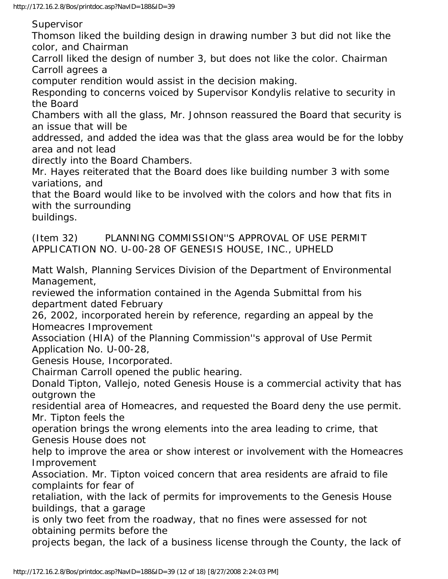Supervisor

Thomson liked the building design in drawing number 3 but did not like the color, and Chairman

Carroll liked the design of number 3, but does not like the color. Chairman Carroll agrees a

computer rendition would assist in the decision making.

Responding to concerns voiced by Supervisor Kondylis relative to security in the Board

Chambers with all the glass, Mr. Johnson reassured the Board that security is an issue that will be

addressed, and added the idea was that the glass area would be for the lobby area and not lead

directly into the Board Chambers.

Mr. Hayes reiterated that the Board does like building number 3 with some variations, and

that the Board would like to be involved with the colors and how that fits in with the surrounding

buildings.

(Item 32) PLANNING COMMISSION''S APPROVAL OF USE PERMIT APPLICATION NO. U-00-28 OF GENESIS HOUSE, INC., UPHELD

Matt Walsh, Planning Services Division of the Department of Environmental Management,

reviewed the information contained in the Agenda Submittal from his department dated February

26, 2002, incorporated herein by reference, regarding an appeal by the Homeacres Improvement

Association (HIA) of the Planning Commission''s approval of Use Permit Application No. U-00-28,

Genesis House, Incorporated.

Chairman Carroll opened the public hearing.

Donald Tipton, Vallejo, noted Genesis House is a commercial activity that has outgrown the

residential area of Homeacres, and requested the Board deny the use permit. Mr. Tipton feels the

operation brings the wrong elements into the area leading to crime, that Genesis House does not

help to improve the area or show interest or involvement with the Homeacres Improvement

Association. Mr. Tipton voiced concern that area residents are afraid to file complaints for fear of

retaliation, with the lack of permits for improvements to the Genesis House buildings, that a garage

is only two feet from the roadway, that no fines were assessed for not obtaining permits before the

projects began, the lack of a business license through the County, the lack of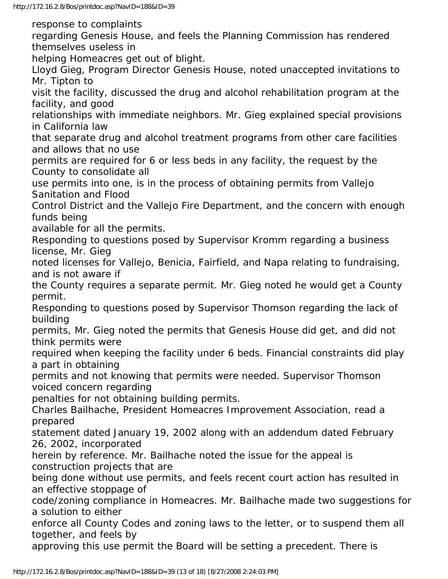response to complaints

regarding Genesis House, and feels the Planning Commission has rendered themselves useless in

helping Homeacres get out of blight.

Lloyd Gieg, Program Director Genesis House, noted unaccepted invitations to Mr. Tipton to

visit the facility, discussed the drug and alcohol rehabilitation program at the facility, and good

relationships with immediate neighbors. Mr. Gieg explained special provisions in California law

that separate drug and alcohol treatment programs from other care facilities and allows that no use

permits are required for 6 or less beds in any facility, the request by the County to consolidate all

use permits into one, is in the process of obtaining permits from Vallejo Sanitation and Flood

Control District and the Vallejo Fire Department, and the concern with enough funds being

available for all the permits.

Responding to questions posed by Supervisor Kromm regarding a business license, Mr. Gieg

noted licenses for Vallejo, Benicia, Fairfield, and Napa relating to fundraising, and is not aware if

the County requires a separate permit. Mr. Gieg noted he would get a County permit.

Responding to questions posed by Supervisor Thomson regarding the lack of building

permits, Mr. Gieg noted the permits that Genesis House did get, and did not think permits were

required when keeping the facility under 6 beds. Financial constraints did play a part in obtaining

permits and not knowing that permits were needed. Supervisor Thomson voiced concern regarding

penalties for not obtaining building permits.

Charles Bailhache, President Homeacres Improvement Association, read a prepared

statement dated January 19, 2002 along with an addendum dated February 26, 2002, incorporated

herein by reference. Mr. Bailhache noted the issue for the appeal is construction projects that are

being done without use permits, and feels recent court action has resulted in an effective stoppage of

code/zoning compliance in Homeacres. Mr. Bailhache made two suggestions for a solution to either

enforce all County Codes and zoning laws to the letter, or to suspend them all together, and feels by

approving this use permit the Board will be setting a precedent. There is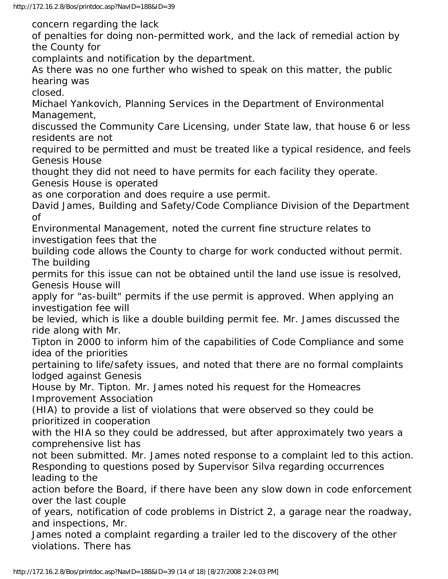concern regarding the lack

of penalties for doing non-permitted work, and the lack of remedial action by the County for

complaints and notification by the department.

As there was no one further who wished to speak on this matter, the public hearing was

closed.

Michael Yankovich, Planning Services in the Department of Environmental Management,

discussed the Community Care Licensing, under State law, that house 6 or less residents are not

required to be permitted and must be treated like a typical residence, and feels Genesis House

thought they did not need to have permits for each facility they operate. Genesis House is operated

as one corporation and does require a use permit.

David James, Building and Safety/Code Compliance Division of the Department of

Environmental Management, noted the current fine structure relates to investigation fees that the

building code allows the County to charge for work conducted without permit. The building

permits for this issue can not be obtained until the land use issue is resolved, Genesis House will

apply for "as-built" permits if the use permit is approved. When applying an investigation fee will

be levied, which is like a double building permit fee. Mr. James discussed the ride along with Mr.

Tipton in 2000 to inform him of the capabilities of Code Compliance and some idea of the priorities

pertaining to life/safety issues, and noted that there are no formal complaints lodged against Genesis

House by Mr. Tipton. Mr. James noted his request for the Homeacres Improvement Association

(HIA) to provide a list of violations that were observed so they could be prioritized in cooperation

with the HIA so they could be addressed, but after approximately two years a comprehensive list has

not been submitted. Mr. James noted response to a complaint led to this action. Responding to questions posed by Supervisor Silva regarding occurrences leading to the

action before the Board, if there have been any slow down in code enforcement over the last couple

of years, notification of code problems in District 2, a garage near the roadway, and inspections, Mr.

James noted a complaint regarding a trailer led to the discovery of the other violations. There has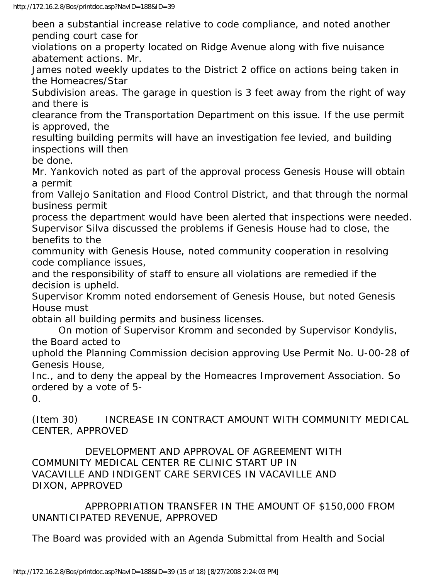been a substantial increase relative to code compliance, and noted another pending court case for

violations on a property located on Ridge Avenue along with five nuisance abatement actions. Mr.

James noted weekly updates to the District 2 office on actions being taken in the Homeacres/Star

Subdivision areas. The garage in question is 3 feet away from the right of way and there is

clearance from the Transportation Department on this issue. If the use permit is approved, the

resulting building permits will have an investigation fee levied, and building inspections will then

be done.

Mr. Yankovich noted as part of the approval process Genesis House will obtain a permit

from Vallejo Sanitation and Flood Control District, and that through the normal business permit

process the department would have been alerted that inspections were needed. Supervisor Silva discussed the problems if Genesis House had to close, the benefits to the

community with Genesis House, noted community cooperation in resolving code compliance issues,

and the responsibility of staff to ensure all violations are remedied if the decision is upheld.

Supervisor Kromm noted endorsement of Genesis House, but noted Genesis House must

obtain all building permits and business licenses.

 On motion of Supervisor Kromm and seconded by Supervisor Kondylis, the Board acted to

uphold the Planning Commission decision approving Use Permit No. U-00-28 of Genesis House,

Inc., and to deny the appeal by the Homeacres Improvement Association. So ordered by a vote of 5-

0.

(Item 30) INCREASE IN CONTRACT AMOUNT WITH COMMUNITY MEDICAL CENTER, APPROVED

 DEVELOPMENT AND APPROVAL OF AGREEMENT WITH COMMUNITY MEDICAL CENTER RE CLINIC START UP IN VACAVILLE AND INDIGENT CARE SERVICES IN VACAVILLE AND DIXON, APPROVED

 APPROPRIATION TRANSFER IN THE AMOUNT OF \$150,000 FROM UNANTICIPATED REVENUE, APPROVED

The Board was provided with an Agenda Submittal from Health and Social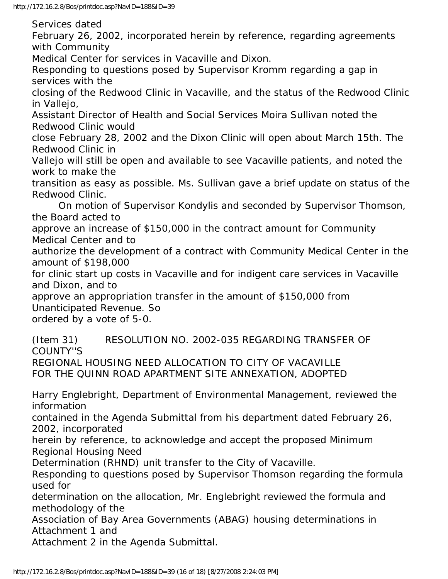Services dated

February 26, 2002, incorporated herein by reference, regarding agreements with Community

Medical Center for services in Vacaville and Dixon.

Responding to questions posed by Supervisor Kromm regarding a gap in services with the

closing of the Redwood Clinic in Vacaville, and the status of the Redwood Clinic in Vallejo,

Assistant Director of Health and Social Services Moira Sullivan noted the Redwood Clinic would

close February 28, 2002 and the Dixon Clinic will open about March 15th. The Redwood Clinic in

Vallejo will still be open and available to see Vacaville patients, and noted the work to make the

transition as easy as possible. Ms. Sullivan gave a brief update on status of the Redwood Clinic.

 On motion of Supervisor Kondylis and seconded by Supervisor Thomson, the Board acted to

approve an increase of \$150,000 in the contract amount for Community Medical Center and to

authorize the development of a contract with Community Medical Center in the amount of \$198,000

for clinic start up costs in Vacaville and for indigent care services in Vacaville and Dixon, and to

approve an appropriation transfer in the amount of \$150,000 from Unanticipated Revenue. So

ordered by a vote of 5-0.

(Item 31) RESOLUTION NO. 2002-035 REGARDING TRANSFER OF COUNTY''S

REGIONAL HOUSING NEED ALLOCATION TO CITY OF VACAVILLE FOR THE QUINN ROAD APARTMENT SITE ANNEXATION, ADOPTED

Harry Englebright, Department of Environmental Management, reviewed the information

contained in the Agenda Submittal from his department dated February 26, 2002, incorporated

herein by reference, to acknowledge and accept the proposed Minimum Regional Housing Need

Determination (RHND) unit transfer to the City of Vacaville.

Responding to questions posed by Supervisor Thomson regarding the formula used for

determination on the allocation, Mr. Englebright reviewed the formula and methodology of the

Association of Bay Area Governments (ABAG) housing determinations in Attachment 1 and

Attachment 2 in the Agenda Submittal.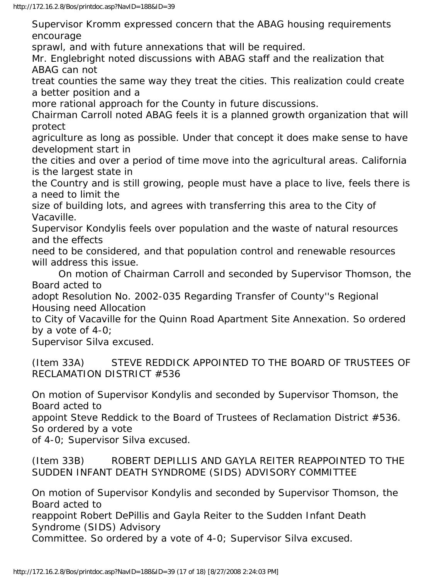Supervisor Kromm expressed concern that the ABAG housing requirements encourage

sprawl, and with future annexations that will be required.

Mr. Englebright noted discussions with ABAG staff and the realization that ABAG can not

treat counties the same way they treat the cities. This realization could create a better position and a

more rational approach for the County in future discussions.

Chairman Carroll noted ABAG feels it is a planned growth organization that will protect

agriculture as long as possible. Under that concept it does make sense to have development start in

the cities and over a period of time move into the agricultural areas. California is the largest state in

the Country and is still growing, people must have a place to live, feels there is a need to limit the

size of building lots, and agrees with transferring this area to the City of Vacaville.

Supervisor Kondylis feels over population and the waste of natural resources and the effects

need to be considered, and that population control and renewable resources will address this issue.

 On motion of Chairman Carroll and seconded by Supervisor Thomson, the Board acted to

adopt Resolution No. 2002-035 Regarding Transfer of County''s Regional Housing need Allocation

to City of Vacaville for the Quinn Road Apartment Site Annexation. So ordered by a vote of 4-0;

Supervisor Silva excused.

(Item 33A) STEVE REDDICK APPOINTED TO THE BOARD OF TRUSTEES OF RECLAMATION DISTRICT #536

On motion of Supervisor Kondylis and seconded by Supervisor Thomson, the Board acted to

appoint Steve Reddick to the Board of Trustees of Reclamation District #536. So ordered by a vote

of 4-0; Supervisor Silva excused.

## (Item 33B) ROBERT DEPILLIS AND GAYLA REITER REAPPOINTED TO THE SUDDEN INFANT DEATH SYNDROME (SIDS) ADVISORY COMMITTEE

On motion of Supervisor Kondylis and seconded by Supervisor Thomson, the Board acted to

reappoint Robert DePillis and Gayla Reiter to the Sudden Infant Death Syndrome (SIDS) Advisory

Committee. So ordered by a vote of 4-0; Supervisor Silva excused.